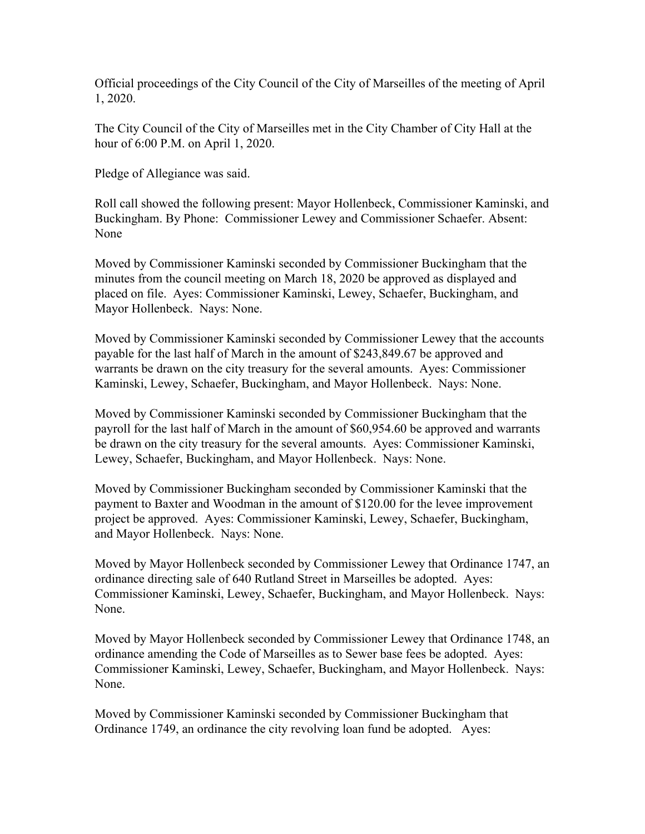Official proceedings of the City Council of the City of Marseilles of the meeting of April 1, 2020.

The City Council of the City of Marseilles met in the City Chamber of City Hall at the hour of 6:00 P.M. on April 1, 2020.

Pledge of Allegiance was said.

Roll call showed the following present: Mayor Hollenbeck, Commissioner Kaminski, and Buckingham. By Phone: Commissioner Lewey and Commissioner Schaefer. Absent: None

Moved by Commissioner Kaminski seconded by Commissioner Buckingham that the minutes from the council meeting on March 18, 2020 be approved as displayed and placed on file. Ayes: Commissioner Kaminski, Lewey, Schaefer, Buckingham, and Mayor Hollenbeck. Nays: None.

Moved by Commissioner Kaminski seconded by Commissioner Lewey that the accounts payable for the last half of March in the amount of \$243,849.67 be approved and warrants be drawn on the city treasury for the several amounts. Ayes: Commissioner Kaminski, Lewey, Schaefer, Buckingham, and Mayor Hollenbeck. Nays: None.

Moved by Commissioner Kaminski seconded by Commissioner Buckingham that the payroll for the last half of March in the amount of \$60,954.60 be approved and warrants be drawn on the city treasury for the several amounts. Ayes: Commissioner Kaminski, Lewey, Schaefer, Buckingham, and Mayor Hollenbeck. Nays: None.

Moved by Commissioner Buckingham seconded by Commissioner Kaminski that the payment to Baxter and Woodman in the amount of \$120.00 for the levee improvement project be approved. Ayes: Commissioner Kaminski, Lewey, Schaefer, Buckingham, and Mayor Hollenbeck. Nays: None.

Moved by Mayor Hollenbeck seconded by Commissioner Lewey that Ordinance 1747, an ordinance directing sale of 640 Rutland Street in Marseilles be adopted. Ayes: Commissioner Kaminski, Lewey, Schaefer, Buckingham, and Mayor Hollenbeck. Nays: None.

Moved by Mayor Hollenbeck seconded by Commissioner Lewey that Ordinance 1748, an ordinance amending the Code of Marseilles as to Sewer base fees be adopted. Ayes: Commissioner Kaminski, Lewey, Schaefer, Buckingham, and Mayor Hollenbeck. Nays: None.

Moved by Commissioner Kaminski seconded by Commissioner Buckingham that Ordinance 1749, an ordinance the city revolving loan fund be adopted. Ayes: